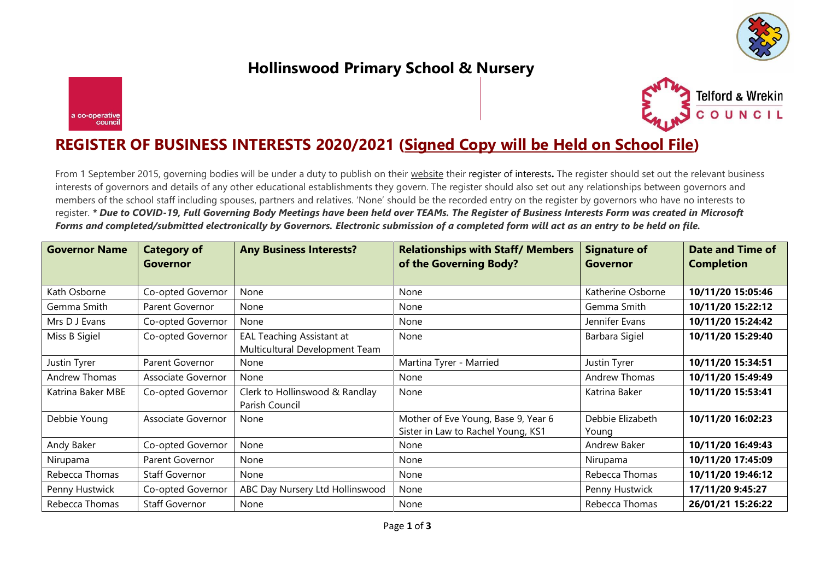

## **Hollinswood Primary School & Nursery**





## **REGISTER OF BUSINESS INTERESTS 2020/2021 (Signed Copy will be Held on School File)**

From 1 September 2015, governing bodies will be under a duty to publish on their website their register of interests**.** The register should set out the relevant business interests of governors and details of any other educational establishments they govern. The register should also set out any relationships between governors and members of the school staff including spouses, partners and relatives. 'None' should be the recorded entry on the register by governors who have no interests to register. *\* Due to COVID-19, Full Governing Body Meetings have been held over TEAMs. The Register of Business Interests Form was created in Microsoft Forms and completed/submitted electronically by Governors. Electronic submission of a completed form will act as an entry to be held on file.* 

| <b>Governor Name</b> | <b>Category of</b><br>Governor | <b>Any Business Interests?</b>                              | <b>Relationships with Staff/ Members</b><br>of the Governing Body?        | <b>Signature of</b><br>Governor | <b>Date and Time of</b><br><b>Completion</b> |
|----------------------|--------------------------------|-------------------------------------------------------------|---------------------------------------------------------------------------|---------------------------------|----------------------------------------------|
|                      |                                |                                                             |                                                                           |                                 |                                              |
| Kath Osborne         | Co-opted Governor              | None                                                        | None                                                                      | Katherine Osborne               | 10/11/20 15:05:46                            |
| Gemma Smith          | Parent Governor                | None                                                        | None                                                                      | Gemma Smith                     | 10/11/20 15:22:12                            |
| Mrs D J Evans        | Co-opted Governor              | None                                                        | None                                                                      | Jennifer Evans                  | 10/11/20 15:24:42                            |
| Miss B Sigiel        | Co-opted Governor              | EAL Teaching Assistant at<br>Multicultural Development Team | None                                                                      | Barbara Sigiel                  | 10/11/20 15:29:40                            |
| Justin Tyrer         | Parent Governor                | None                                                        | Martina Tyrer - Married                                                   | Justin Tyrer                    | 10/11/20 15:34:51                            |
| Andrew Thomas        | Associate Governor             | None                                                        | None                                                                      | Andrew Thomas                   | 10/11/20 15:49:49                            |
| Katrina Baker MBE    | Co-opted Governor              | Clerk to Hollinswood & Randlay<br>Parish Council            | None                                                                      | Katrina Baker                   | 10/11/20 15:53:41                            |
| Debbie Young         | Associate Governor             | None                                                        | Mother of Eve Young, Base 9, Year 6<br>Sister in Law to Rachel Young, KS1 | Debbie Elizabeth<br>Young       | 10/11/20 16:02:23                            |
| Andy Baker           | Co-opted Governor              | None                                                        | None                                                                      | Andrew Baker                    | 10/11/20 16:49:43                            |
| Nirupama             | Parent Governor                | None                                                        | None                                                                      | Nirupama                        | 10/11/20 17:45:09                            |
| Rebecca Thomas       | <b>Staff Governor</b>          | None                                                        | None                                                                      | Rebecca Thomas                  | 10/11/20 19:46:12                            |
| Penny Hustwick       | Co-opted Governor              | ABC Day Nursery Ltd Hollinswood                             | None                                                                      | Penny Hustwick                  | 17/11/20 9:45:27                             |
| Rebecca Thomas       | Staff Governor                 | None                                                        | None                                                                      | Rebecca Thomas                  | 26/01/21 15:26:22                            |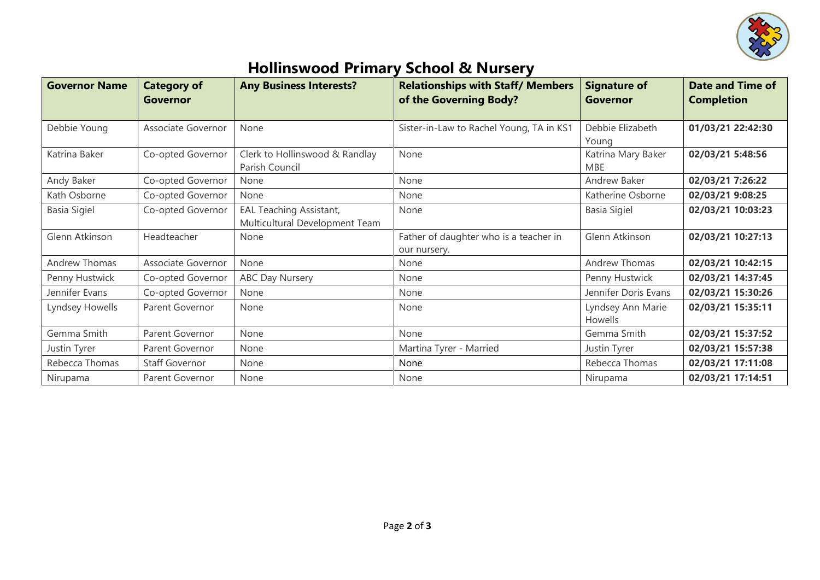

## **Hollinswood Primary School & Nursery**

| <b>Governor Name</b> | <b>Category of</b><br>Governor | <b>Any Business Interests?</b>                                   | <b>Relationships with Staff/ Members</b><br>of the Governing Body? | <b>Signature of</b><br>Governor     | <b>Date and Time of</b><br><b>Completion</b> |
|----------------------|--------------------------------|------------------------------------------------------------------|--------------------------------------------------------------------|-------------------------------------|----------------------------------------------|
| Debbie Young         | Associate Governor             | None                                                             | Sister-in-Law to Rachel Young, TA in KS1                           | Debbie Elizabeth<br>Young           | 01/03/21 22:42:30                            |
| Katrina Baker        | Co-opted Governor              | Clerk to Hollinswood & Randlay<br>Parish Council                 | None                                                               | Katrina Mary Baker<br><b>MBE</b>    | 02/03/21 5:48:56                             |
| Andy Baker           | Co-opted Governor              | None                                                             | None                                                               | Andrew Baker                        | 02/03/21 7:26:22                             |
| Kath Osborne         | Co-opted Governor              | None                                                             | None                                                               | Katherine Osborne                   | 02/03/21 9:08:25                             |
| Basia Sigiel         | Co-opted Governor              | <b>EAL Teaching Assistant,</b><br>Multicultural Development Team | None                                                               | <b>Basia Sigiel</b>                 | 02/03/21 10:03:23                            |
| Glenn Atkinson       | Headteacher                    | None                                                             | Father of daughter who is a teacher in<br>our nursery.             | Glenn Atkinson                      | 02/03/21 10:27:13                            |
| Andrew Thomas        | Associate Governor             | None                                                             | None                                                               | Andrew Thomas                       | 02/03/21 10:42:15                            |
| Penny Hustwick       | Co-opted Governor              | <b>ABC Day Nursery</b>                                           | None                                                               | Penny Hustwick                      | 02/03/21 14:37:45                            |
| Jennifer Evans       | Co-opted Governor              | None                                                             | None                                                               | Jennifer Doris Evans                | 02/03/21 15:30:26                            |
| Lyndsey Howells      | Parent Governor                | None                                                             | None                                                               | Lyndsey Ann Marie<br><b>Howells</b> | 02/03/21 15:35:11                            |
| Gemma Smith          | Parent Governor                | None                                                             | None                                                               | Gemma Smith                         | 02/03/21 15:37:52                            |
| Justin Tyrer         | Parent Governor                | None                                                             | Martina Tyrer - Married                                            | Justin Tyrer                        | 02/03/21 15:57:38                            |
| Rebecca Thomas       | <b>Staff Governor</b>          | None                                                             | None                                                               | Rebecca Thomas                      | 02/03/21 17:11:08                            |
| Nirupama             | Parent Governor                | None                                                             | None                                                               | Nirupama                            | 02/03/21 17:14:51                            |